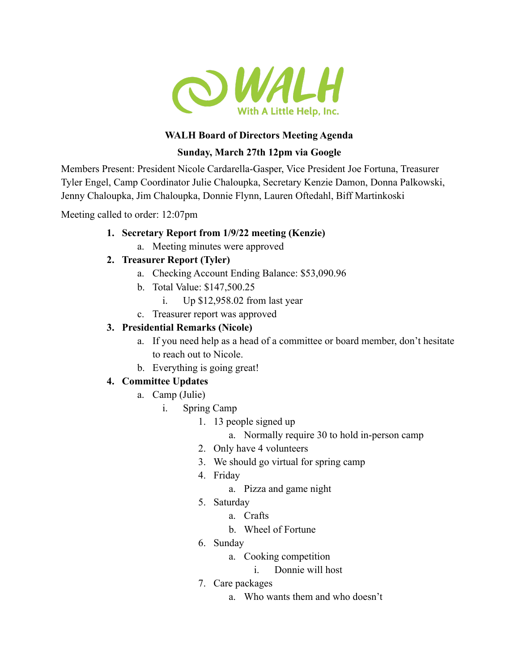

## **WALH Board of Directors Meeting Agenda**

# **Sunday, March 27th 12pm via Google**

Members Present: President Nicole Cardarella-Gasper, Vice President Joe Fortuna, Treasurer Tyler Engel, Camp Coordinator Julie Chaloupka, Secretary Kenzie Damon, Donna Palkowski, Jenny Chaloupka, Jim Chaloupka, Donnie Flynn, Lauren Oftedahl, Biff Martinkoski

Meeting called to order: 12:07pm

### **1. Secretary Report from 1/9/22 meeting (Kenzie)**

a. Meeting minutes were approved

# **2. Treasurer Report (Tyler)**

- a. Checking Account Ending Balance: \$53,090.96
- b. Total Value: \$147,500.25
	- i. Up \$12,958.02 from last year
- c. Treasurer report was approved

# **3. Presidential Remarks (Nicole)**

- a. If you need help as a head of a committee or board member, don't hesitate to reach out to Nicole.
- b. Everything is going great!

# **4. Committee Updates**

- a. Camp (Julie)
	- i. Spring Camp
		- 1. 13 people signed up
			- a. Normally require 30 to hold in-person camp
		- 2. Only have 4 volunteers
		- 3. We should go virtual for spring camp
		- 4. Friday
			- a. Pizza and game night
		- 5. Saturday
			- a. Crafts
				- b. Wheel of Fortune
		- 6. Sunday
			- a. Cooking competition
				- i. Donnie will host
		- 7. Care packages
			- a. Who wants them and who doesn't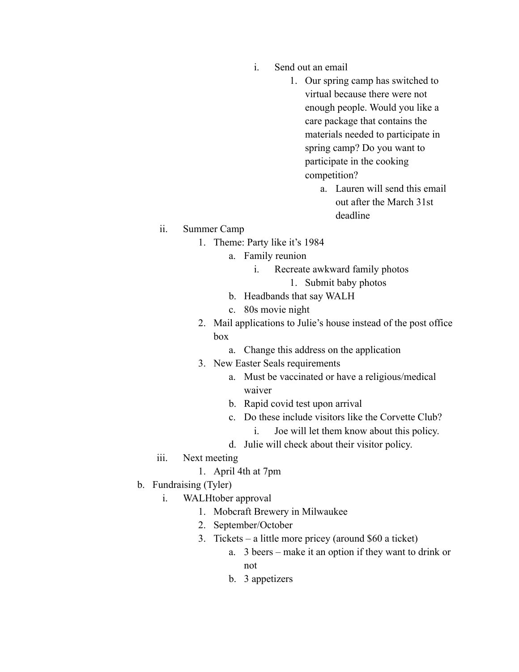- i. Send out an email
	- 1. Our spring camp has switched to virtual because there were not enough people. Would you like a care package that contains the materials needed to participate in spring camp? Do you want to participate in the cooking competition?
		- a. Lauren will send this email out after the March 31st deadline

#### ii. Summer Camp

- 1. Theme: Party like it's 1984
	- a. Family reunion
		- i. Recreate awkward family photos
			- 1. Submit baby photos
	- b. Headbands that say WALH
	- c. 80s movie night
- 2. Mail applications to Julie's house instead of the post office box
	- a. Change this address on the application
- 3. New Easter Seals requirements
	- a. Must be vaccinated or have a religious/medical waiver
	- b. Rapid covid test upon arrival
	- c. Do these include visitors like the Corvette Club?
		- i. Joe will let them know about this policy.
	- d. Julie will check about their visitor policy.
- iii. Next meeting
	- 1. April 4th at 7pm
- b. Fundraising (Tyler)
	- i. WALHtober approval
		- 1. Mobcraft Brewery in Milwaukee
		- 2. September/October
		- 3. Tickets a little more pricey (around \$60 a ticket)
			- a. 3 beers make it an option if they want to drink or not
			- b. 3 appetizers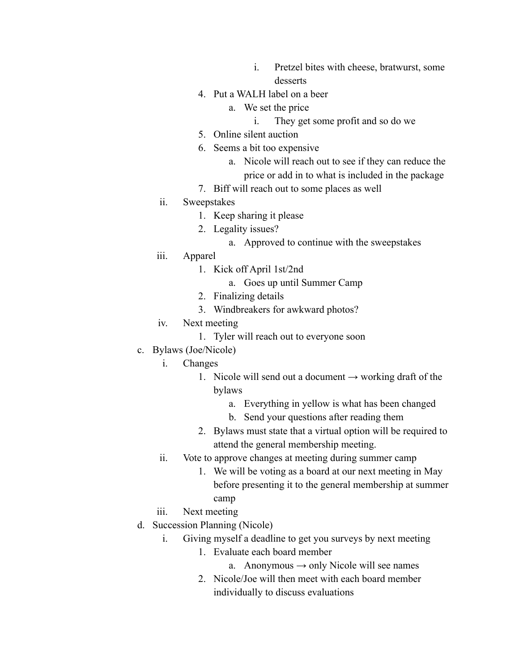- i. Pretzel bites with cheese, bratwurst, some desserts
- 4. Put a WALH label on a beer
	- a. We set the price
		- i. They get some profit and so do we
- 5. Online silent auction
- 6. Seems a bit too expensive
	- a. Nicole will reach out to see if they can reduce the price or add in to what is included in the package
- 7. Biff will reach out to some places as well
- ii. Sweepstakes
	- 1. Keep sharing it please
	- 2. Legality issues?
		- a. Approved to continue with the sweepstakes
- iii. Apparel
	- 1. Kick off April 1st/2nd
		- a. Goes up until Summer Camp
	- 2. Finalizing details
	- 3. Windbreakers for awkward photos?
- iv. Next meeting
	- 1. Tyler will reach out to everyone soon
- c. Bylaws (Joe/Nicole)
	- i. Changes
		- 1. Nicole will send out a document  $\rightarrow$  working draft of the bylaws
			- a. Everything in yellow is what has been changed
			- b. Send your questions after reading them
		- 2. Bylaws must state that a virtual option will be required to attend the general membership meeting.
	- ii. Vote to approve changes at meeting during summer camp
		- 1. We will be voting as a board at our next meeting in May before presenting it to the general membership at summer camp
	- iii. Next meeting
- d. Succession Planning (Nicole)
	- i. Giving myself a deadline to get you surveys by next meeting
		- 1. Evaluate each board member
			- a. Anonymous  $\rightarrow$  only Nicole will see names
		- 2. Nicole/Joe will then meet with each board member individually to discuss evaluations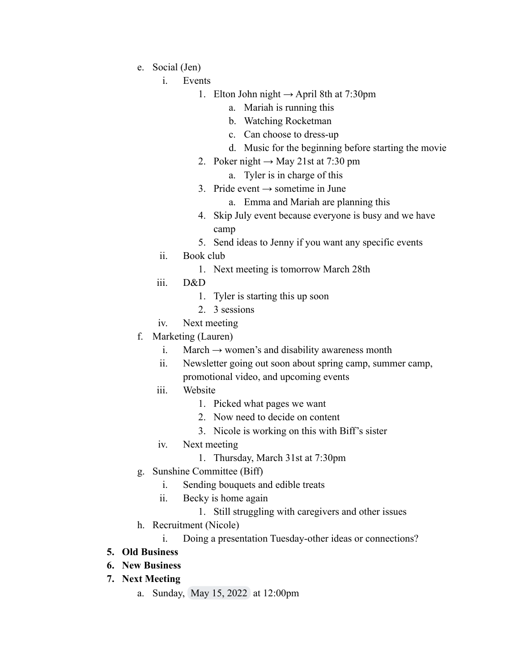- e. Social (Jen)
	- i. Events
		- 1. Elton John night  $\rightarrow$  April 8th at 7:30pm
			- a. Mariah is running this
			- b. Watching Rocketman
			- c. Can choose to dress-up
			- d. Music for the beginning before starting the movie
		- 2. Poker night  $\rightarrow$  May 21st at 7:30 pm
			- a. Tyler is in charge of this
		- 3. Pride event  $\rightarrow$  sometime in June
			- a. Emma and Mariah are planning this
		- 4. Skip July event because everyone is busy and we have camp
		- 5. Send ideas to Jenny if you want any specific events
	- ii. Book club
		- 1. Next meeting is tomorrow March 28th
	- iii. D&D
		- 1. Tyler is starting this up soon
		- 2. 3 sessions
	- iv. Next meeting
- f. Marketing (Lauren)
	- i. March  $\rightarrow$  women's and disability awareness month
	- ii. Newsletter going out soon about spring camp, summer camp, promotional video, and upcoming events
	- iii. Website
		- 1. Picked what pages we want
		- 2. Now need to decide on content
		- 3. Nicole is working on this with Biff's sister
	- iv. Next meeting
		- 1. Thursday, March 31st at 7:30pm
- g. Sunshine Committee (Biff)
	- i. Sending bouquets and edible treats
	- ii. Becky is home again
		- 1. Still struggling with caregivers and other issues
- h. Recruitment (Nicole)
	- i. Doing a presentation Tuesday-other ideas or connections?

### **5. Old Business**

- **6. New Business**
- **7. Next Meeting**
	- a. Sunday, May 15, 2022 at 12:00pm